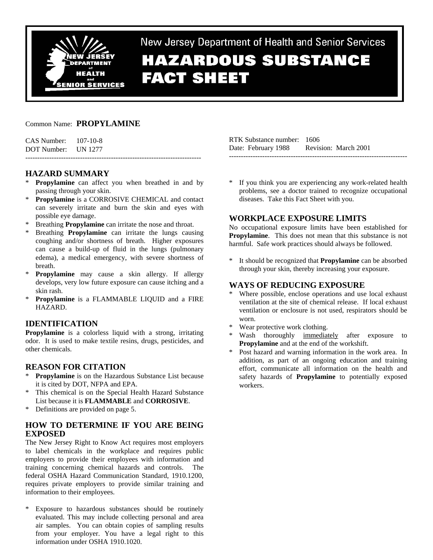

New Jersey Department of Health and Senior Services

# **HAZARDOUS SUBSTANCE FACT SHEET**

#### Common Name: **PROPYLAMINE**

| CAS Number: | 107-10-8 |
|-------------|----------|
| DOT Number: | UN 1277  |

## **HAZARD SUMMARY**

\* **Propylamine** can affect you when breathed in and by passing through your skin.

--------------------------------------------------------------------------

- \* **Propylamine** is a CORROSIVE CHEMICAL and contact can severely irritate and burn the skin and eyes with possible eye damage.
- Breathing **Propylamine** can irritate the nose and throat.
- \* Breathing **Propylamine** can irritate the lungs causing coughing and/or shortness of breath. Higher exposures can cause a build-up of fluid in the lungs (pulmonary edema), a medical emergency, with severe shortness of breath.
- \* **Propylamine** may cause a skin allergy. If allergy develops, very low future exposure can cause itching and a skin rash.
- \* **Propylamine** is a FLAMMABLE LIQUID and a FIRE HAZARD.

#### **IDENTIFICATION**

**Propylamine** is a colorless liquid with a strong, irritating odor. It is used to make textile resins, drugs, pesticides, and other chemicals.

#### **REASON FOR CITATION**

- **Propylamine** is on the Hazardous Substance List because it is cited by DOT, NFPA and EPA.
- This chemical is on the Special Health Hazard Substance List because it is **FLAMMABLE** and **CORROSIVE**.
- Definitions are provided on page 5.

## **HOW TO DETERMINE IF YOU ARE BEING EXPOSED**

The New Jersey Right to Know Act requires most employers to label chemicals in the workplace and requires public employers to provide their employees with information and training concerning chemical hazards and controls. The federal OSHA Hazard Communication Standard, 1910.1200, requires private employers to provide similar training and information to their employees.

\* Exposure to hazardous substances should be routinely evaluated. This may include collecting personal and area air samples. You can obtain copies of sampling results from your employer. You have a legal right to this information under OSHA 1910.1020.

RTK Substance number: 1606 Date: February 1988 Revision: March 2001 ---------------------------------------------------------------------------

\* If you think you are experiencing any work-related health problems, see a doctor trained to recognize occupational diseases. Take this Fact Sheet with you.

#### **WORKPLACE EXPOSURE LIMITS**

No occupational exposure limits have been established for **Propylamine**. This does not mean that this substance is not harmful. Safe work practices should always be followed.

\* It should be recognized that **Propylamine** can be absorbed through your skin, thereby increasing your exposure.

#### **WAYS OF REDUCING EXPOSURE**

- Where possible, enclose operations and use local exhaust ventilation at the site of chemical release. If local exhaust ventilation or enclosure is not used, respirators should be worn.
- Wear protective work clothing.
- Wash thoroughly immediately after exposure to **Propylamine** and at the end of the workshift.
- Post hazard and warning information in the work area. In addition, as part of an ongoing education and training effort, communicate all information on the health and safety hazards of **Propylamine** to potentially exposed workers.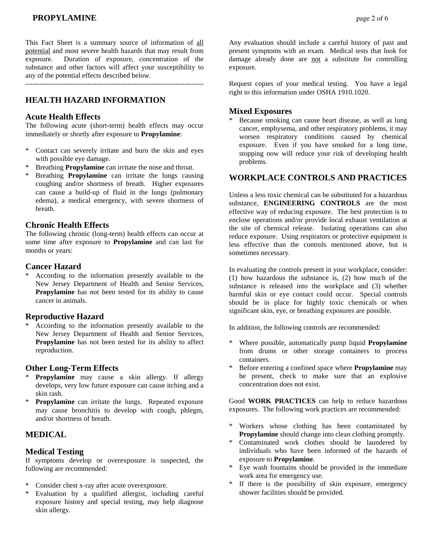This Fact Sheet is a summary source of information of all potential and most severe health hazards that may result from exposure. Duration of exposure, concentration of the substance and other factors will affect your susceptibility to any of the potential effects described below.

---------------------------------------------------------------------------

## **HEALTH HAZARD INFORMATION**

#### **Acute Health Effects**

The following acute (short-term) health effects may occur immediately or shortly after exposure to **Propylamine**:

- \* Contact can severely irritate and burn the skin and eyes with possible eye damage.
- Breathing **Propylamine** can irritate the nose and throat.
- \* Breathing **Propylamine** can irritate the lungs causing coughing and/or shortness of breath. Higher exposures can cause a build-up of fluid in the lungs (pulmonary edema), a medical emergency, with severe shortness of breath.

#### **Chronic Health Effects**

The following chronic (long-term) health effects can occur at some time after exposure to **Propylamine** and can last for months or years:

#### **Cancer Hazard**

According to the information presently available to the New Jersey Department of Health and Senior Services, **Propylamine** has not been tested for its ability to cause cancer in animals.

#### **Reproductive Hazard**

According to the information presently available to the New Jersey Department of Health and Senior Services, **Propylamine** has not been tested for its ability to affect reproduction.

#### **Other Long-Term Effects**

- \* **Propylamine** may cause a skin allergy. If allergy develops, very low future exposure can cause itching and a skin rash.
- **Propylamine** can irritate the lungs. Repeated exposure may cause bronchitis to develop with cough, phlegm, and/or shortness of breath.

#### **MEDICAL**

#### **Medical Testing**

If symptoms develop or overexposure is suspected, the following are recommended:

- \* Consider chest x-ray after acute overexposure.
- Evaluation by a qualified allergist, including careful exposure history and special testing, may help diagnose skin allergy.

Any evaluation should include a careful history of past and present symptoms with an exam. Medical tests that look for damage already done are not a substitute for controlling exposure.

Request copies of your medical testing. You have a legal right to this information under OSHA 1910.1020.

#### **Mixed Exposures**

Because smoking can cause heart disease, as well as lung cancer, emphysema, and other respiratory problems, it may worsen respiratory conditions caused by chemical exposure. Even if you have smoked for a long time, stopping now will reduce your risk of developing health problems.

#### **WORKPLACE CONTROLS AND PRACTICES**

Unless a less toxic chemical can be substituted for a hazardous substance, **ENGINEERING CONTROLS** are the most effective way of reducing exposure. The best protection is to enclose operations and/or provide local exhaust ventilation at the site of chemical release. Isolating operations can also reduce exposure. Using respirators or protective equipment is less effective than the controls mentioned above, but is sometimes necessary.

In evaluating the controls present in your workplace, consider: (1) how hazardous the substance is, (2) how much of the substance is released into the workplace and (3) whether harmful skin or eye contact could occur. Special controls should be in place for highly toxic chemicals or when significant skin, eye, or breathing exposures are possible.

In addition, the following controls are recommended:

- \* Where possible, automatically pump liquid **Propylamine** from drums or other storage containers to process containers.
- \* Before entering a confined space where **Propylamine** may be present, check to make sure that an explosive concentration does not exist.

Good **WORK PRACTICES** can help to reduce hazardous exposures. The following work practices are recommended:

- \* Workers whose clothing has been contaminated by **Propylamine** should change into clean clothing promptly.
- \* Contaminated work clothes should be laundered by individuals who have been informed of the hazards of exposure to **Propylamine**.
- Eye wash fountains should be provided in the immediate work area for emergency use.
- \* If there is the possibility of skin exposure, emergency shower facilities should be provided.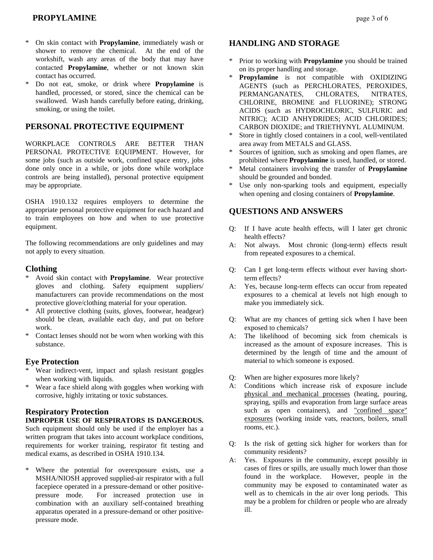# **PROPYLAMINE**  $\qquad \qquad \text{page 3 of 6}$

- \* On skin contact with **Propylamine**, immediately wash or shower to remove the chemical. At the end of the workshift, wash any areas of the body that may have contacted **Propylamine**, whether or not known skin contact has occurred.
- \* Do not eat, smoke, or drink where **Propylamine** is handled, processed, or stored, since the chemical can be swallowed. Wash hands carefully before eating, drinking, smoking, or using the toilet.

## **PERSONAL PROTECTIVE EQUIPMENT**

WORKPLACE CONTROLS ARE BETTER THAN PERSONAL PROTECTIVE EQUIPMENT. However, for some jobs (such as outside work, confined space entry, jobs done only once in a while, or jobs done while workplace controls are being installed), personal protective equipment may be appropriate.

OSHA 1910.132 requires employers to determine the appropriate personal protective equipment for each hazard and to train employees on how and when to use protective equipment.

The following recommendations are only guidelines and may not apply to every situation.

#### **Clothing**

- \* Avoid skin contact with **Propylamine**. Wear protective gloves and clothing. Safety equipment suppliers/ manufacturers can provide recommendations on the most protective glove/clothing material for your operation.
- \* All protective clothing (suits, gloves, footwear, headgear) should be clean, available each day, and put on before work.
- Contact lenses should not be worn when working with this substance.

#### **Eye Protection**

- \* Wear indirect-vent, impact and splash resistant goggles when working with liquids.
- Wear a face shield along with goggles when working with corrosive, highly irritating or toxic substances.

#### **Respiratory Protection**

**IMPROPER USE OF RESPIRATORS IS DANGEROUS.** Such equipment should only be used if the employer has a written program that takes into account workplace conditions, requirements for worker training, respirator fit testing and medical exams, as described in OSHA 1910.134.

\* Where the potential for overexposure exists, use a MSHA/NIOSH approved supplied-air respirator with a full facepiece operated in a pressure-demand or other positivepressure mode. For increased protection use in combination with an auxiliary self-contained breathing apparatus operated in a pressure-demand or other positivepressure mode.

## **HANDLING AND STORAGE**

- Prior to working with **Propylamine** you should be trained on its proper handling and storage.
- **Propylamine** is not compatible with OXIDIZING AGENTS (such as PERCHLORATES, PEROXIDES, PERMANGANATES, CHLORATES, NITRATES, CHLORINE, BROMINE and FLUORINE); STRONG ACIDS (such as HYDROCHLORIC, SULFURIC and NITRIC); ACID ANHYDRIDES; ACID CHLORIDES; CARBON DIOXIDE; and TRIETHYNYL ALUMINUM.
- Store in tightly closed containers in a cool, well-ventilated area away from METALS and GLASS.
- Sources of ignition, such as smoking and open flames, are prohibited where **Propylamine** is used, handled, or stored.
- Metal containers involving the transfer of **Propylamine** should be grounded and bonded.
- \* Use only non-sparking tools and equipment, especially when opening and closing containers of **Propylamine**.

#### **QUESTIONS AND ANSWERS**

- Q: If I have acute health effects, will I later get chronic health effects?
- A: Not always. Most chronic (long-term) effects result from repeated exposures to a chemical.
- Q: Can I get long-term effects without ever having shortterm effects?
- A: Yes, because long-term effects can occur from repeated exposures to a chemical at levels not high enough to make you immediately sick.
- Q: What are my chances of getting sick when I have been exposed to chemicals?
- A: The likelihood of becoming sick from chemicals is increased as the amount of exposure increases. This is determined by the length of time and the amount of material to which someone is exposed.
- Q: When are higher exposures more likely?
- A: Conditions which increase risk of exposure include physical and mechanical processes (heating, pouring, spraying, spills and evaporation from large surface areas such as open containers), and "confined space" exposures (working inside vats, reactors, boilers, small rooms, etc.).
- Q: Is the risk of getting sick higher for workers than for community residents?
- A: Yes. Exposures in the community, except possibly in cases of fires or spills, are usually much lower than those found in the workplace. However, people in the community may be exposed to contaminated water as well as to chemicals in the air over long periods. This may be a problem for children or people who are already ill.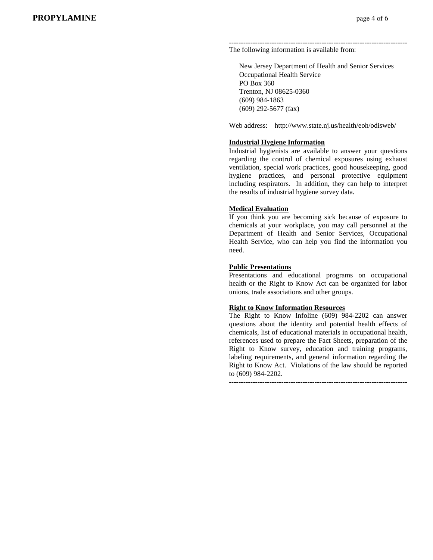--------------------------------------------------------------------------- The following information is available from:

 New Jersey Department of Health and Senior Services Occupational Health Service PO Box 360 Trenton, NJ 08625-0360 (609) 984-1863 (609) 292-5677 (fax)

Web address: http://www.state.nj.us/health/eoh/odisweb/

#### **Industrial Hygiene Information**

Industrial hygienists are available to answer your questions regarding the control of chemical exposures using exhaust ventilation, special work practices, good housekeeping, good hygiene practices, and personal protective equipment including respirators. In addition, they can help to interpret the results of industrial hygiene survey data.

#### **Medical Evaluation**

If you think you are becoming sick because of exposure to chemicals at your workplace, you may call personnel at the Department of Health and Senior Services, Occupational Health Service, who can help you find the information you need.

#### **Public Presentations**

Presentations and educational programs on occupational health or the Right to Know Act can be organized for labor unions, trade associations and other groups.

#### **Right to Know Information Resources**

The Right to Know Infoline (609) 984-2202 can answer questions about the identity and potential health effects of chemicals, list of educational materials in occupational health, references used to prepare the Fact Sheets, preparation of the Right to Know survey, education and training programs, labeling requirements, and general information regarding the Right to Know Act. Violations of the law should be reported to (609) 984-2202.

---------------------------------------------------------------------------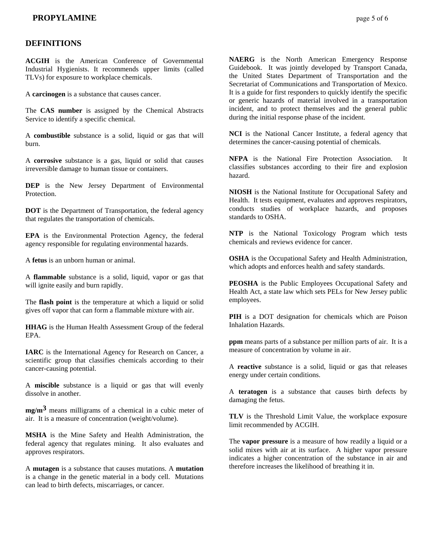#### **DEFINITIONS**

**ACGIH** is the American Conference of Governmental Industrial Hygienists. It recommends upper limits (called TLVs) for exposure to workplace chemicals.

A **carcinogen** is a substance that causes cancer.

The **CAS number** is assigned by the Chemical Abstracts Service to identify a specific chemical.

A **combustible** substance is a solid, liquid or gas that will burn.

A **corrosive** substance is a gas, liquid or solid that causes irreversible damage to human tissue or containers.

**DEP** is the New Jersey Department of Environmental Protection.

**DOT** is the Department of Transportation, the federal agency that regulates the transportation of chemicals.

**EPA** is the Environmental Protection Agency, the federal agency responsible for regulating environmental hazards.

A **fetus** is an unborn human or animal.

A **flammable** substance is a solid, liquid, vapor or gas that will ignite easily and burn rapidly.

The **flash point** is the temperature at which a liquid or solid gives off vapor that can form a flammable mixture with air.

**HHAG** is the Human Health Assessment Group of the federal EPA.

**IARC** is the International Agency for Research on Cancer, a scientific group that classifies chemicals according to their cancer-causing potential.

A **miscible** substance is a liquid or gas that will evenly dissolve in another.

**mg/m3** means milligrams of a chemical in a cubic meter of air. It is a measure of concentration (weight/volume).

**MSHA** is the Mine Safety and Health Administration, the federal agency that regulates mining. It also evaluates and approves respirators.

A **mutagen** is a substance that causes mutations. A **mutation** is a change in the genetic material in a body cell. Mutations can lead to birth defects, miscarriages, or cancer.

**NAERG** is the North American Emergency Response Guidebook. It was jointly developed by Transport Canada, the United States Department of Transportation and the Secretariat of Communications and Transportation of Mexico. It is a guide for first responders to quickly identify the specific or generic hazards of material involved in a transportation incident, and to protect themselves and the general public during the initial response phase of the incident.

**NCI** is the National Cancer Institute, a federal agency that determines the cancer-causing potential of chemicals.

**NFPA** is the National Fire Protection Association. It classifies substances according to their fire and explosion hazard.

**NIOSH** is the National Institute for Occupational Safety and Health. It tests equipment, evaluates and approves respirators, conducts studies of workplace hazards, and proposes standards to OSHA.

**NTP** is the National Toxicology Program which tests chemicals and reviews evidence for cancer.

**OSHA** is the Occupational Safety and Health Administration, which adopts and enforces health and safety standards.

**PEOSHA** is the Public Employees Occupational Safety and Health Act, a state law which sets PELs for New Jersey public employees.

**PIH** is a DOT designation for chemicals which are Poison Inhalation Hazards.

**ppm** means parts of a substance per million parts of air. It is a measure of concentration by volume in air.

A **reactive** substance is a solid, liquid or gas that releases energy under certain conditions.

A **teratogen** is a substance that causes birth defects by damaging the fetus.

**TLV** is the Threshold Limit Value, the workplace exposure limit recommended by ACGIH.

The **vapor pressure** is a measure of how readily a liquid or a solid mixes with air at its surface. A higher vapor pressure indicates a higher concentration of the substance in air and therefore increases the likelihood of breathing it in.